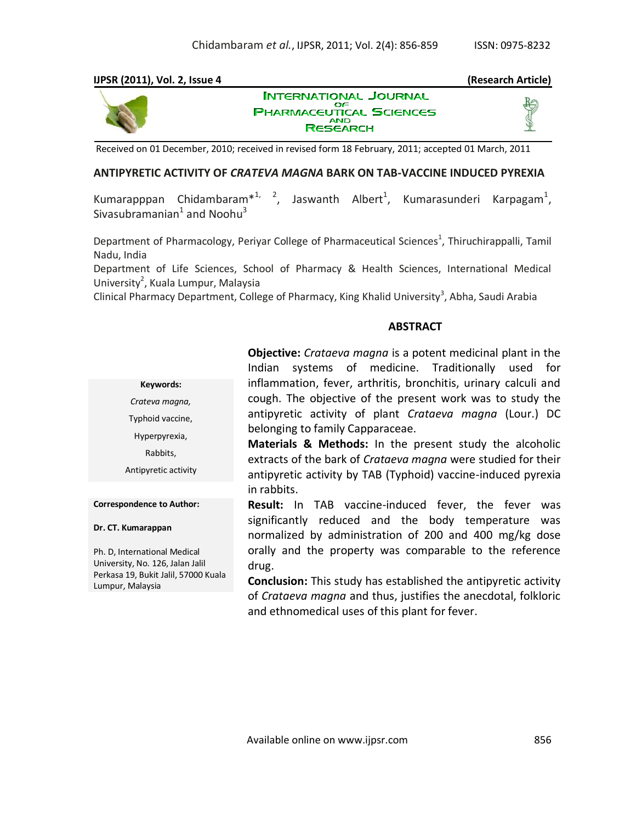## **IJPSR (2011), Vol. 2, Issue 4 (Research Article)**



**INTERNATIONAL JOURNAL** OΕ **PHARMACEUTICAL SCIENCES RESEARCH** 

Received on 01 December, 2010; received in revised form 18 February, 2011; accepted 01 March, 2011

#### **ANTIPYRETIC ACTIVITY OF** *CRATEVA MAGNA* **BARK ON TAB-VACCINE INDUCED PYREXIA**

Kumarapppan Chidambaram $*^{1,2}$ , Jaswanth Albert<sup>1</sup>, Kumarasunderi Karpagam<sup>1</sup>, Sivasubramanian $^1$  and Noohu $^3$ 

Department of Pharmacology, Periyar College of Pharmaceutical Sciences<sup>1</sup>, Thiruchirappalli, Tamil Nadu, India

Department of Life Sciences, School of Pharmacy & Health Sciences, International Medical University<sup>2</sup>, Kuala Lumpur, Malaysia

Clinical Pharmacy Department, College of Pharmacy, King Khalid University<sup>3</sup>, Abha, Saudi Arabia

#### **ABSTRACT**

| <b>Objective:</b> Crataeva magna is a potent medicinal plant in the |  |  |  |  |  |  |
|---------------------------------------------------------------------|--|--|--|--|--|--|
| Indian systems of medicine. Traditionally used for                  |  |  |  |  |  |  |
| inflammation, fever, arthritis, bronchitis, urinary calculi and     |  |  |  |  |  |  |
| cough. The objective of the present work was to study the           |  |  |  |  |  |  |
| antipyretic activity of plant Crataeva magna (Lour.) DC             |  |  |  |  |  |  |
| belonging to family Capparaceae.                                    |  |  |  |  |  |  |
| naturalis ∩ naturalis da sub a correcta de distribuidades.          |  |  |  |  |  |  |

**Materials & Methods:** In the present study the alcoholic extracts of the bark of *Crataeva magna* were studied for their antipyretic activity by TAB (Typhoid) vaccine-induced pyrexia in rabbits.

**Result:** In TAB vaccine-induced fever, the fever was significantly reduced and the body temperature was normalized by administration of 200 and 400 mg/kg dose orally and the property was comparable to the reference drug.

**Conclusion:** This study has established the antipyretic activity of *Crataeva magna* and thus, justifies the anecdotal, folkloric and ethnomedical uses of this plant for fever.

**Keywords:** *Crateva magna,* Typhoid vaccine, Hyperpyrexia, Rabbits, Antipyretic activity

**Correspondence to Author:**

**Dr. CT. Kumarappan**

Ph. D, International Medical University, No. 126, Jalan Jalil Perkasa 19, Bukit Jalil, 57000 Kuala Lumpur, Malaysia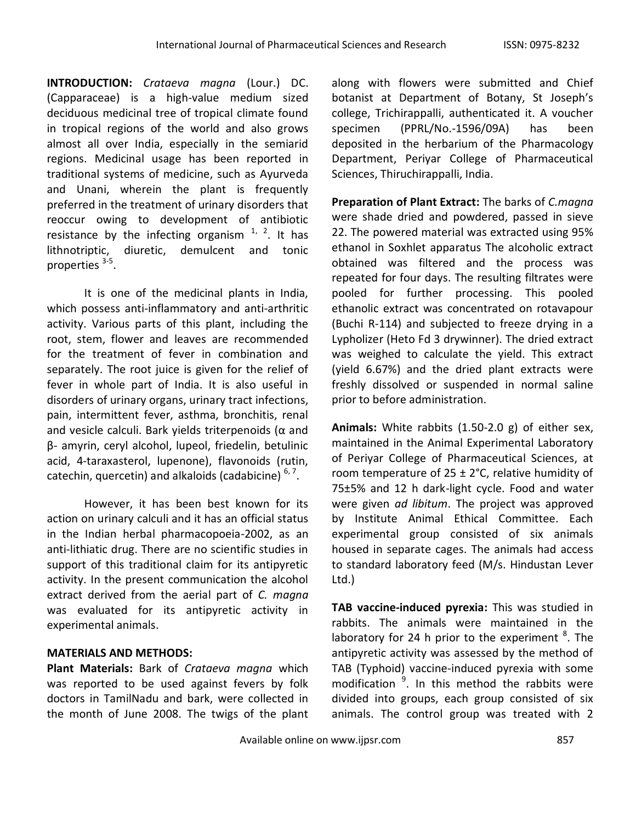**INTRODUCTION:** *Crataeva magna* (Lour.) DC. (Capparaceae) is a high-value medium sized deciduous medicinal tree of tropical climate found in tropical regions of the world and also grows almost all over India, especially in the semiarid regions. Medicinal usage has been reported in traditional systems of medicine, such as Ayurveda and Unani, wherein the plant is frequently preferred in the treatment of urinary disorders that reoccur owing to development of antibiotic resistance by the infecting organism  $1/2$ . It has lithnotriptic, diuretic, demulcent and tonic properties <sup>3-5</sup>.

It is one of the medicinal plants in India, which possess anti-inflammatory and anti-arthritic activity. Various parts of this plant, including the root, stem, flower and leaves are recommended for the treatment of fever in combination and separately. The root juice is given for the relief of fever in whole part of India. It is also useful in disorders of urinary organs, urinary tract infections, pain, intermittent fever, asthma, bronchitis, renal and vesicle calculi. Bark yields triterpenoids ( $\alpha$  and β- amyrin, ceryl alcohol, lupeol, friedelin, betulinic acid, 4-taraxasterol, lupenone), flavonoids (rutin, catechin, quercetin) and alkaloids (cadabicine) <sup>6, 7</sup>.

However, it has been best known for its action on urinary calculi and it has an official status in the Indian herbal pharmacopoeia-2002, as an anti-lithiatic drug. There are no scientific studies in support of this traditional claim for its antipyretic activity. In the present communication the alcohol extract derived from the aerial part of *C. magna*  was evaluated for its antipyretic activity in experimental animals.

# **MATERIALS AND METHODS:**

**Plant Materials:** Bark of *Crataeva magna* which was reported to be used against fevers by folk doctors in TamilNadu and bark, were collected in the month of June 2008. The twigs of the plant

along with flowers were submitted and Chief botanist at Department of Botany, St Joseph's college, Trichirappalli, authenticated it. A voucher specimen (PPRL/No.-1596/09A) has been deposited in the herbarium of the Pharmacology Department, Periyar College of Pharmaceutical Sciences, Thiruchirappalli, India.

**Preparation of Plant Extract:** The barks of *C.magna* were shade dried and powdered, passed in sieve 22. The powered material was extracted using 95% ethanol in Soxhlet apparatus The alcoholic extract obtained was filtered and the process was repeated for four days. The resulting filtrates were pooled for further processing. This pooled ethanolic extract was concentrated on rotavapour (Buchi R-114) and subjected to freeze drying in a Lypholizer (Heto Fd 3 drywinner). The dried extract was weighed to calculate the yield. This extract (yield 6.67%) and the dried plant extracts were freshly dissolved or suspended in normal saline prior to before administration.

**Animals:** White rabbits (1.50-2.0 g) of either sex, maintained in the Animal Experimental Laboratory of Periyar College of Pharmaceutical Sciences, at room temperature of  $25 \pm 2$ °C, relative humidity of 75±5% and 12 h dark-light cycle. Food and water were given *ad libitum*. The project was approved by Institute Animal Ethical Committee. Each experimental group consisted of six animals housed in separate cages. The animals had access to standard laboratory feed (M/s. Hindustan Lever Ltd.)

**TAB vaccine-induced pyrexia:** This was studied in rabbits. The animals were maintained in the laboratory for 24 h prior to the experiment  ${}^{8}$ . The antipyretic activity was assessed by the method of TAB (Typhoid) vaccine-induced pyrexia with some modification <sup>9</sup>. In this method the rabbits were divided into groups, each group consisted of six animals. The control group was treated with 2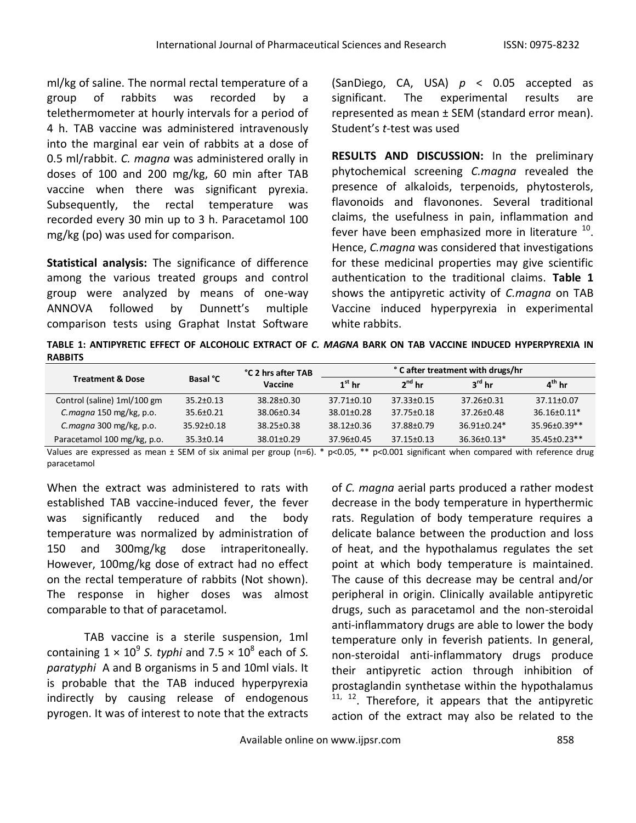ml/kg of saline. The normal rectal temperature of a group of rabbits was recorded by a telethermometer at hourly intervals for a period of 4 h. TAB vaccine was administered intravenously into the marginal ear vein of rabbits at a dose of 0.5 ml/rabbit. *C. magna* was administered orally in doses of 100 and 200 mg/kg, 60 min after TAB vaccine when there was significant pyrexia. Subsequently, the rectal temperature was recorded every 30 min up to 3 h. Paracetamol 100 mg/kg (po) was used for comparison.

**Statistical analysis:** The significance of difference among the various treated groups and control group were analyzed by means of one-way ANNOVA followed by Dunnett's multiple comparison tests using Graphat Instat Software

(SanDiego, CA, USA) *p* < 0.05 accepted as significant. The experimental results are represented as mean ± SEM (standard error mean). Student's *t*-test was used

**RESULTS AND DISCUSSION:** In the preliminary phytochemical screening *C.magna* revealed the presence of alkaloids, terpenoids, phytosterols, flavonoids and flavonones. Several traditional claims, the usefulness in pain, inflammation and fever have been emphasized more in literature  $^{10}$ . Hence, *C.magna* was considered that investigations for these medicinal properties may give scientific authentication to the traditional claims. **Table 1** shows the antipyretic activity of *C.magna* on TAB Vaccine induced hyperpyrexia in experimental white rabbits.

**TABLE 1: ANTIPYRETIC EFFECT OF ALCOHOLIC EXTRACT OF** *C. MAGNA* **BARK ON TAB VACCINE INDUCED HYPERPYREXIA IN RABBITS**

|                             | <b>Basal °C</b>  | °C 2 hrs after TAB<br>Vaccine | °C after treatment with drugs/hr |                  |                    |                     |
|-----------------------------|------------------|-------------------------------|----------------------------------|------------------|--------------------|---------------------|
| <b>Treatment &amp; Dose</b> |                  |                               | $1st$ hr                         | $2^{nd}$ hr      | $3^{\text{rd}}$ hr | $4^{\text{th}}$ hr  |
| Control (saline) 1ml/100 gm | $35.2 \pm 0.13$  | $38.28 \pm 0.30$              | $37.71 \pm 0.10$                 | $37.33 \pm 0.15$ | $37.26 \pm 0.31$   | $37.11 \pm 0.07$    |
| C.magna 150 mg/kg, p.o.     | $35.6 \pm 0.21$  | $38.06 \pm 0.34$              | $38.01 \pm 0.28$                 | $37.75 \pm 0.18$ | $37.26 \pm 0.48$   | $36.16 + 0.11*$     |
| C. magna 300 mg/kg, p.o.    | $35.92 \pm 0.18$ | 38.25+0.38                    | 38.12+0.36                       | 37.88±0.79       | $36.91 + 0.24*$    | $35.96 + 0.39**$    |
| Paracetamol 100 mg/kg, p.o. | $35.3 \pm 0.14$  | $38.01 \pm 0.29$              | $37.96 \pm 0.45$                 | $37.15 \pm 0.13$ | $36.36 \pm 0.13*$  | $35.45 \pm 0.23$ ** |

Values are expressed as mean  $\pm$  SEM of six animal per group (n=6). \* p<0.05, \*\* p<0.001 significant when compared with reference drug paracetamol

When the extract was administered to rats with established TAB vaccine-induced fever, the fever was significantly reduced and the body temperature was normalized by administration of 150 and 300mg/kg dose intraperitoneally. However, 100mg/kg dose of extract had no effect on the rectal temperature of rabbits (Not shown). The response in higher doses was almost comparable to that of paracetamol.

TAB vaccine is a sterile suspension, 1ml containing  $1 \times 10^9$  S. typhi and  $7.5 \times 10^8$  each of S. *paratyphi* A and B organisms in 5 and 10ml vials. It is probable that the TAB induced hyperpyrexia indirectly by causing release of endogenous pyrogen. It was of interest to note that the extracts of *C. magna* aerial parts produced a rather modest decrease in the body temperature in hyperthermic rats. Regulation of body temperature requires a delicate balance between the production and loss of heat, and the hypothalamus regulates the set point at which body temperature is maintained. The cause of this decrease may be central and/or peripheral in origin. Clinically available antipyretic drugs, such as paracetamol and the non-steroidal anti-inflammatory drugs are able to lower the body temperature only in feverish patients. In general, non-steroidal anti-inflammatory drugs produce their antipyretic action through inhibition of prostaglandin synthetase within the hypothalamus  $11, 12$ . Therefore, it appears that the antipyretic action of the extract may also be related to the